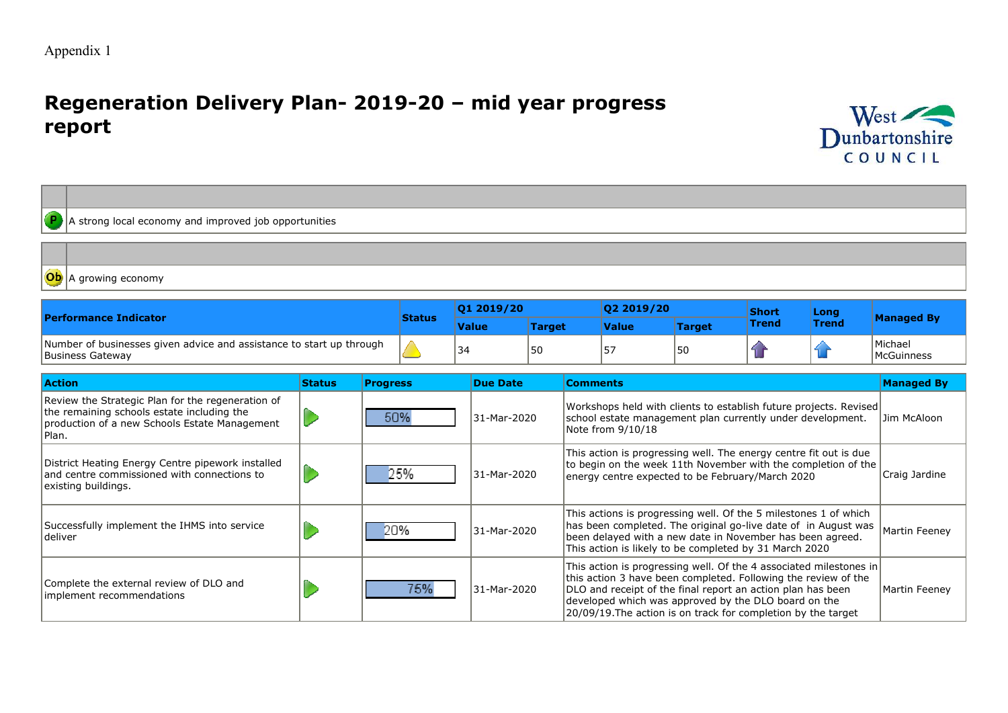$\overline{\phantom{a}}$ 

# **Regeneration Delivery Plan- 2019-20 – mid year progress report**



|  | $\left  \left( \mathbf{P} \right) \right $ A strong local economy and improved job opportunities |
|--|--------------------------------------------------------------------------------------------------|
|  |                                                                                                  |
|  |                                                                                                  |

A growing economy

| <b>Performance Indicator</b>                                                             |        | 01 2019/20   |        | 02 2019/20   |               | Short | Long  |                                |
|------------------------------------------------------------------------------------------|--------|--------------|--------|--------------|---------------|-------|-------|--------------------------------|
|                                                                                          |        | <b>Value</b> | Target | <b>Value</b> | <b>Target</b> | Trend | Trend | <b>Managed By</b>              |
| Number of businesses given advice and assistance to start up through<br>Business Gateway | $\sim$ | 34           | 50     | 57ء          | 50            |       |       | l Michael<br><b>McGuinness</b> |

| <b>Action</b>                                                                                                                                             | <b>Status</b> | <b>Progress</b> | <b>Due Date</b> | <b>Comments</b>                                                                                                                                                                                                                                                                                                              | <b>Managed By</b> |
|-----------------------------------------------------------------------------------------------------------------------------------------------------------|---------------|-----------------|-----------------|------------------------------------------------------------------------------------------------------------------------------------------------------------------------------------------------------------------------------------------------------------------------------------------------------------------------------|-------------------|
| Review the Strategic Plan for the regeneration of<br>the remaining schools estate including the<br>production of a new Schools Estate Management<br>Plan. |               | 50%             | 31-Mar-2020     | Workshops held with clients to establish future projects. Revised<br>school estate management plan currently under development.<br>Note from 9/10/18                                                                                                                                                                         | Jim McAloon       |
| District Heating Energy Centre pipework installed<br>land centre commissioned with connections to<br>existing buildings.                                  |               | 25%             | 31-Mar-2020     | This action is progressing well. The energy centre fit out is due<br>to begin on the week 11th November with the completion of the<br>energy centre expected to be February/March 2020                                                                                                                                       | Craig Jardine     |
| Successfully implement the IHMS into service<br>ldeliver                                                                                                  |               | 20%             | 31-Mar-2020     | This actions is progressing well. Of the 5 milestones 1 of which<br>has been completed. The original go-live date of in August was<br>been delayed with a new date in November has been agreed.<br>This action is likely to be completed by 31 March 2020                                                                    | Martin Feeney     |
| Complete the external review of DLO and<br>implement recommendations                                                                                      |               | 75%             | 31-Mar-2020     | This action is progressing well. Of the 4 associated milestones in<br>this action 3 have been completed. Following the review of the<br>DLO and receipt of the final report an action plan has been<br>developed which was approved by the DLO board on the<br>20/09/19. The action is on track for completion by the target | Martin Feeney     |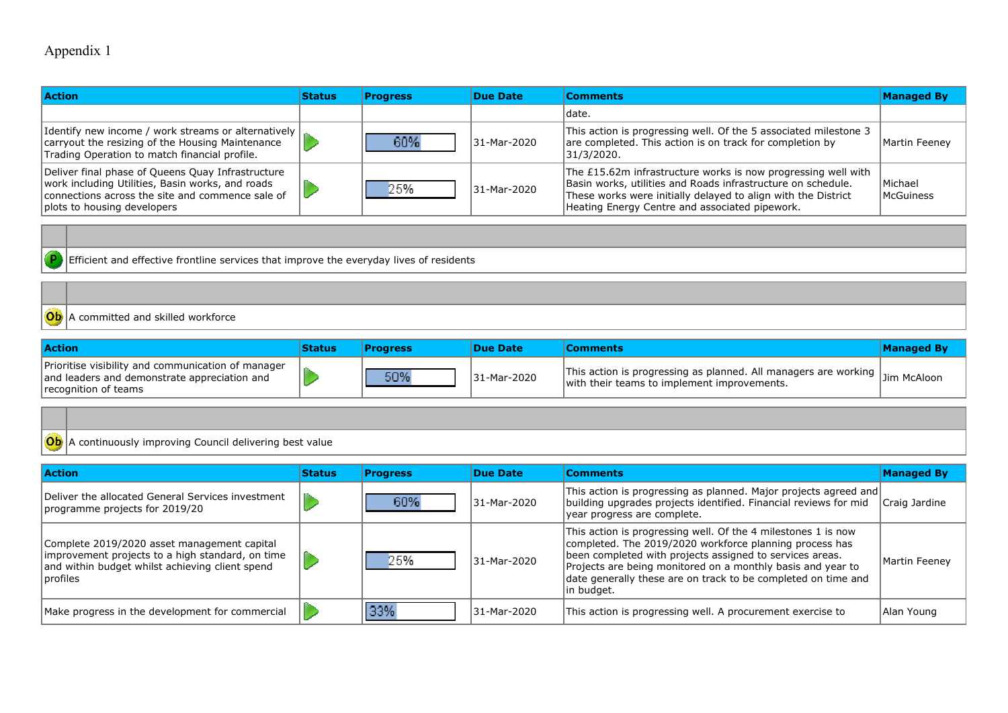| <b>Action</b>                                                                                                                                                                            | <b>Status</b> | Progress | Due Date    | <b>Comments</b>                                                                                                                                                                                                                                  | <b>Managed By</b>           |
|------------------------------------------------------------------------------------------------------------------------------------------------------------------------------------------|---------------|----------|-------------|--------------------------------------------------------------------------------------------------------------------------------------------------------------------------------------------------------------------------------------------------|-----------------------------|
|                                                                                                                                                                                          |               |          |             | Idate.                                                                                                                                                                                                                                           |                             |
| Identify new income / work streams or alternatively  <br>carryout the resizing of the Housing Maintenance<br>Trading Operation to match financial profile.                               |               | 60%      | 31-Mar-2020 | This action is progressing well. Of the 5 associated milestone 3<br>are completed. This action is on track for completion by<br> 31/3/2020.                                                                                                      | Martin Feeney               |
| Deliver final phase of Queens Quay Infrastructure<br>work including Utilities, Basin works, and roads<br>connections across the site and commence sale of<br>plots to housing developers |               | 25%      | 31-Mar-2020 | The £15.62m infrastructure works is now progressing well with<br>Basin works, utilities and Roads infrastructure on schedule.<br>These works were initially delayed to align with the District<br>Heating Energy Centre and associated pipework. | Michael<br><b>McGuiness</b> |

Efficient and effective frontline services that improve the everyday lives of residents

### A committed and skilled workforce

| <b>Action</b>                                                                                                              | Status | <b>Progress</b> | Due Date    | <b>Comments</b>                                                                                                                    | <b>Managed By</b> |
|----------------------------------------------------------------------------------------------------------------------------|--------|-----------------|-------------|------------------------------------------------------------------------------------------------------------------------------------|-------------------|
| Prioritise visibility and communication of manager<br>and leaders and demonstrate appreciation and<br>recognition of teams |        | 50%             | 31-Mar-2020 | This action is progressing as planned. All managers are working $\vert$ Jim McAloon<br>with their teams to implement improvements. |                   |

#### A continuously improving Council delivering best value

| <b>Action</b>                                                                                                                                                        | <b>Status</b> | <b>Progress</b> | Due Date    | <b>Comments</b>                                                                                                                                                                                                                                                                                                                    | <b>Managed By</b> |
|----------------------------------------------------------------------------------------------------------------------------------------------------------------------|---------------|-----------------|-------------|------------------------------------------------------------------------------------------------------------------------------------------------------------------------------------------------------------------------------------------------------------------------------------------------------------------------------------|-------------------|
| Deliver the allocated General Services investment<br>programme projects for 2019/20                                                                                  |               | 60%             | 31-Mar-2020 | This action is progressing as planned. Major projects agreed and<br>building upgrades projects identified. Financial reviews for mid<br>year progress are complete.                                                                                                                                                                | Craig Jardine     |
| Complete 2019/2020 asset management capital<br>improvement projects to a high standard, on time<br>and within budget whilst achieving client spend<br><i>cofiles</i> |               | 25%             | 31-Mar-2020 | This action is progressing well. Of the 4 milestones 1 is now<br>completed. The 2019/2020 workforce planning process has<br>been completed with projects assigned to services areas.<br>Projects are being monitored on a monthly basis and year to<br>date generally these are on track to be completed on time and<br>in budget. | Martin Feeney     |
| Make progress in the development for commercial                                                                                                                      |               | 33%             | 31-Mar-2020 | This action is progressing well. A procurement exercise to                                                                                                                                                                                                                                                                         | Alan Young        |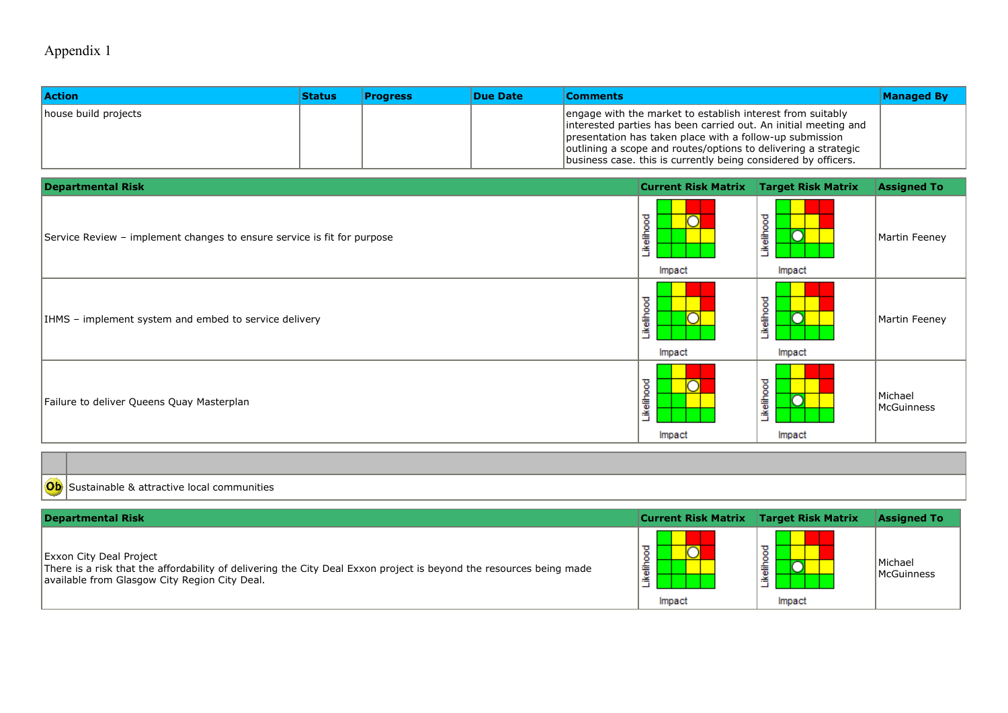| <b>Action</b>        | <b>Status</b> | <b>Progress</b> | Due Date | <b>Comments</b>                                                                                                                                                                                                                                                                                                               | <b>Managed By</b> |
|----------------------|---------------|-----------------|----------|-------------------------------------------------------------------------------------------------------------------------------------------------------------------------------------------------------------------------------------------------------------------------------------------------------------------------------|-------------------|
| house build projects |               |                 |          | engage with the market to establish interest from suitably<br>interested parties has been carried out. An initial meeting and<br>presentation has taken place with a follow-up submission<br>outlining a scope and routes/options to delivering a strategic<br>business case. this is currently being considered by officers. |                   |

| <b>Departmental Risk</b>                                                | <b>Current Risk Matrix</b> | <b>Target Risk Matrix</b> | <b>Assigned To</b>    |
|-------------------------------------------------------------------------|----------------------------|---------------------------|-----------------------|
| Service Review - implement changes to ensure service is fit for purpose | ikelihood<br>Impact        | Likelihood<br>Impact      | Martin Feeney         |
| IHMS - implement system and embed to service delivery                   | ikelihood<br>Impact        | Likelihood<br>∽<br>Impact | Martin Feeney         |
| Failure to deliver Queens Quay Masterplan                               | elihood<br>Æ<br>Impact     | Likelihood<br>Impact      | Michael<br>McGuinness |

| $\sim$ | communities<br>$\sim$<br> |
|--------|---------------------------|

| <b>Departmental Risk</b>                                                                                                                                                                               | <b>Current Risk Matrix</b> | <b>Target Risk Matrix</b> | <b>Assigned To</b>           |
|--------------------------------------------------------------------------------------------------------------------------------------------------------------------------------------------------------|----------------------------|---------------------------|------------------------------|
| <b>Exxon City Deal Project</b><br>There is a risk that the affordability of delivering the City Deal Exxon project is beyond the resources being made<br>available from Glasgow City Region City Deal. | 竈<br>Impact                | 燾<br>Impact               | Michael<br><b>McGuinness</b> |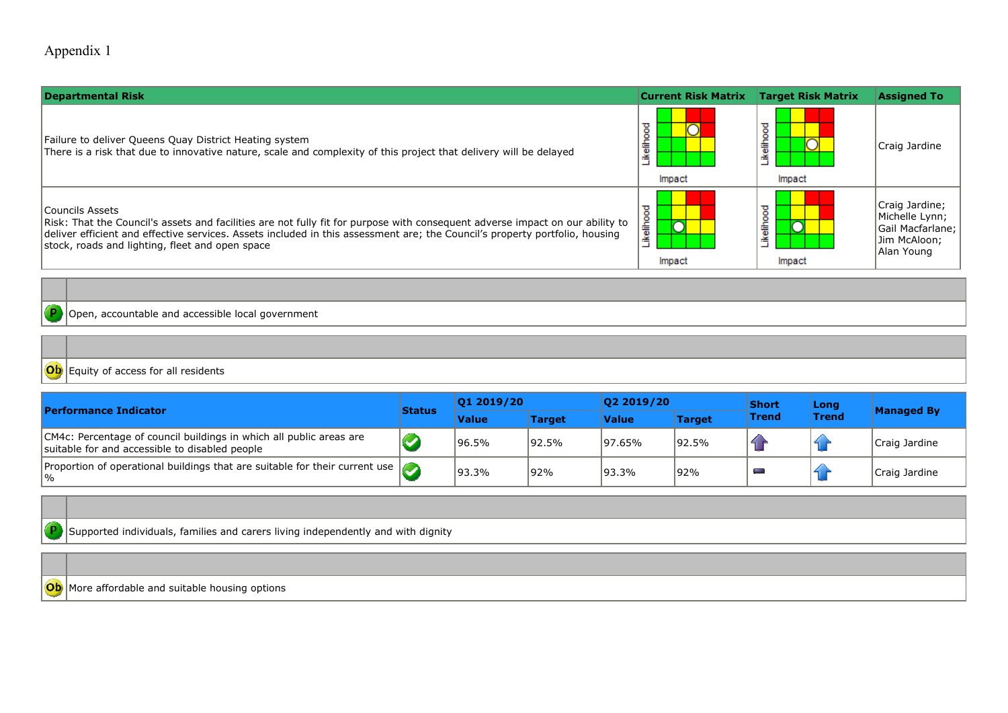| <b>Departmental Risk</b>                                                                                                                                                                                                                                                                                                           | <b>Current Risk Matrix</b> | <b>Target Risk Matrix</b> | <b>Assigned To</b>                                                                 |
|------------------------------------------------------------------------------------------------------------------------------------------------------------------------------------------------------------------------------------------------------------------------------------------------------------------------------------|----------------------------|---------------------------|------------------------------------------------------------------------------------|
| Failure to deliver Queens Quay District Heating system<br>There is a risk that due to innovative nature, scale and complexity of this project that delivery will be delayed                                                                                                                                                        | ikelihood<br>Impact        | ikelihood<br>Impact       | Craig Jardine                                                                      |
| Councils Assets<br>Risk: That the Council's assets and facilities are not fully fit for purpose with consequent adverse impact on our ability to<br>deliver efficient and effective services. Assets included in this assessment are; the Council's property portfolio, housing<br>stock, roads and lighting, fleet and open space | <b>ikelihood</b><br>Impact | ikelihood<br>Impact       | Craig Jardine;<br>Michelle Lynn;<br>Gail Macfarlane;<br>Jim McAloon;<br>Alan Young |
|                                                                                                                                                                                                                                                                                                                                    |                            |                           |                                                                                    |

 $\mathsf{P}$ Open, accountable and accessible local government

Equity of access for all residents

| <b>Performance Indicator</b><br><b>Status</b>                                                                         |  | 01 2019/20   |               | 02 2019/20   |               | <b>Short</b>     | Long         | <b>Managed By</b> |
|-----------------------------------------------------------------------------------------------------------------------|--|--------------|---------------|--------------|---------------|------------------|--------------|-------------------|
|                                                                                                                       |  | <b>Value</b> | <b>Target</b> | <b>Value</b> | <b>Target</b> | <b>Trend</b>     | <b>Trend</b> |                   |
| CM4c: Percentage of council buildings in which all public areas are<br>suitable for and accessible to disabled people |  | 96.5%        | 192.5%        | 97.65%       | 192.5%        | $\blacktriangle$ |              | Craig Jardine     |
| Proportion of operational buildings that are suitable for their current use $\sqrt{\phantom{a}}$<br>$  \%$            |  | 93.3%        | 92%           | 193.3%       | 92%           | <b>There</b>     |              | Craig Jardine     |

Supported individuals, families and carers living independently and with dignity

Ob More affordable and suitable housing options